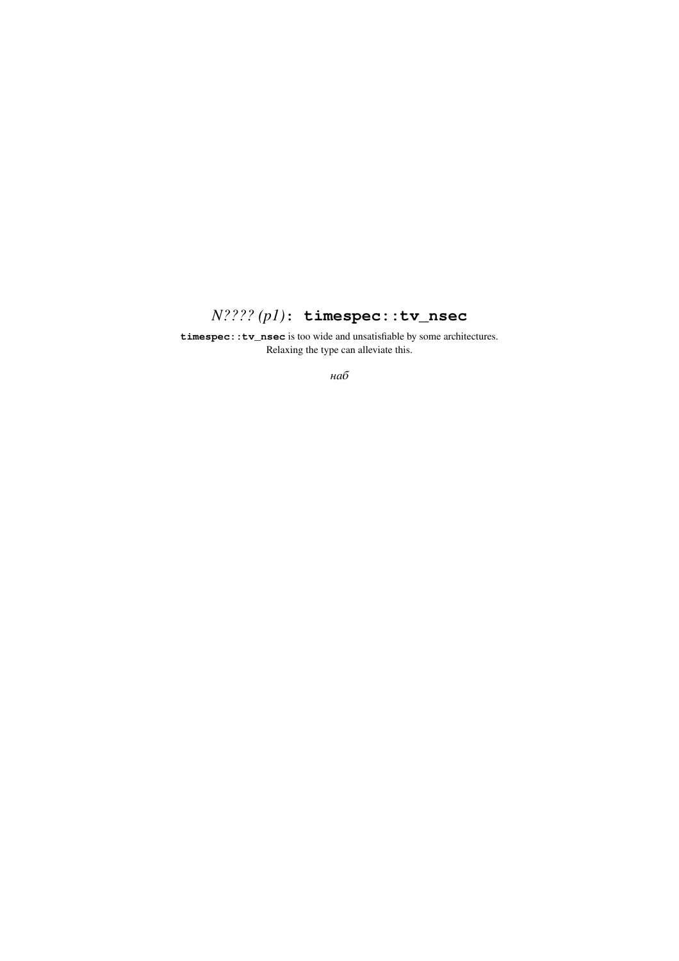# $N$ ????  $(p1)$ : timespec::tv\_nsec

timespec:: tv\_nsec is too wide and unsatisfiable by some architectures. Relaxing the type can alleviate this.

наб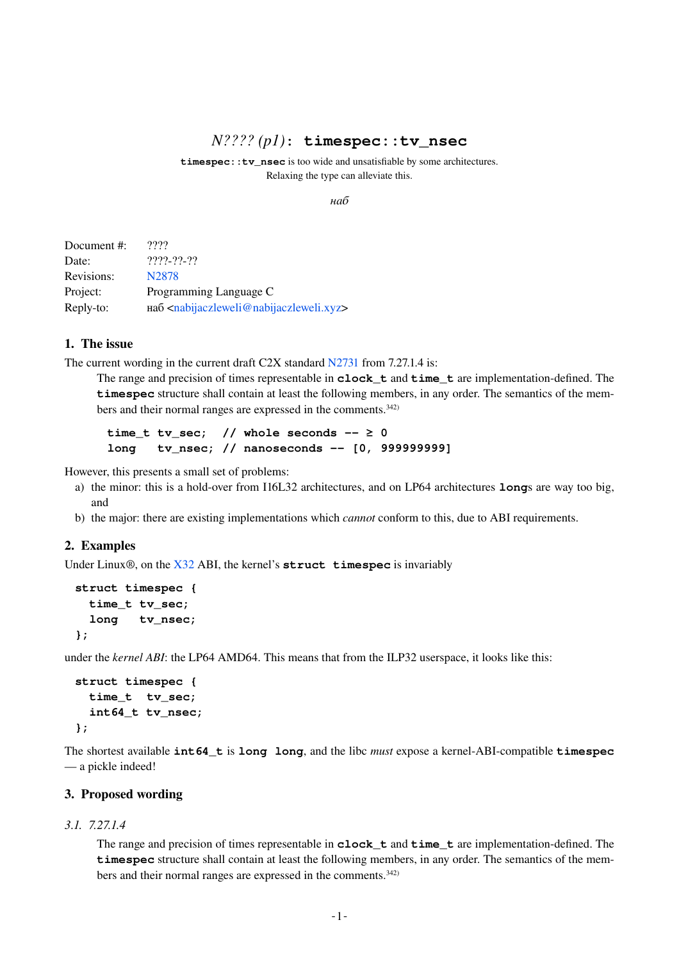### *N???? (p1)*: **timespec::tv\_nsec**

<span id="page-1-0"></span>**timespec::tv\_nsec** is too wide and unsatisfiable by some architectures. Relaxing the type can alleviate this.

#### *наб*

Document #: ???? Date:  $????2.???2$ Revisions: [N2878](http://www.open-std.org/jtc1/sc22/wg14/www/docs/n2878.pdf) Project: Programming Language C Reply-to: наб [<nabijaczleweli@nabijaczleweli.xyz](mailto:nabijaczleweli@nabijaczleweli.xyz)>

#### 1. The issue

The current wording in the current draft C2X standard [N2731](http://www.open-std.org/jtc1/sc22/wg14/www/docs/n2731.pdf) from 7.27.1.4 is:

The range and precision of times representable in **clock** t and **time** t are implementation-defined. The **timespec** structure shall contain at least the following members, in any order. The semantics of the members and their normal ranges are expressed in the comments.342)

```
time_t tv_sec; // whole seconds -- \geq 0long tv_nsec; // nanoseconds -- [0, 999999999]
```
However, this presents a small set of problems:

- a) the minor: this is a hold-over from I16L32 architectures, and on LP64 architectures **long**s are way too big, and
- b) the major: there are existing implementations which *cannot* conform to this, due to ABI requirements.

#### 2. Examples

Under Linux®, on the [X32](https://raw.githubusercontent.com/wiki/hjl-tools/x86-psABI/x86-64-psABI-1.0.pdf) ABI, the kernel's **struct timespec** is invariably

```
struct timespec {
 time_t tv_sec;
 long tv_nsec;
};
```
under the *kernel ABI*: the LP64 AMD64. This means that from the ILP32 userspace, it looks like this:

```
struct timespec {
  time_t tv_sec;
  int64_t tv_nsec;
};
```
The shortest available  $int64_t$  is  $long long$ , and the libc *must* expose a kernel-ABI-compatible  $timespec$ —apickle indeed!

#### 3. Proposed wording

#### *3.1. 7.27. 1.4*

The range and precision of times representable in **clock** t and **time** t are implementation-defined. The **timespec** structure shall contain at least the following members, in any order. The semantics of the members and their normal ranges are expressed in the comments.342)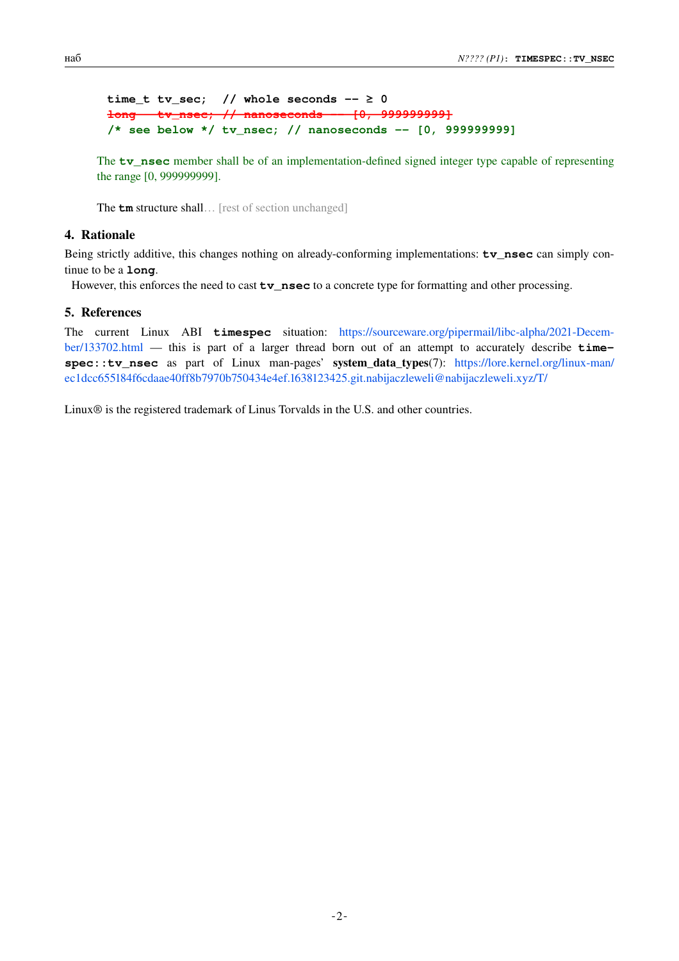```
time_t tv_sec; // whole seconds -- \geq 0long tv nsec; // nanoseconds - [0, 999999999]
/* see below */ tv_nsec; // nanoseconds -- [0, 999999999]
```
The **tv\_nsec** member shall be of an implementation-defined signed integer type capable of representing the range [0, 999999999].

The **tm** structure shall... [rest of section unchanged]

#### 4. Rationale

Being strictly additive, this changes nothing on already-conforming implementations:  $tv\_nsec$  can simply continue to be a **long**.

However, this enforces the need to cast **tv\_nsec** to a concrete type for formatting and other processing.

#### 5. References

The current Linux ABI **timespec** situation: https://sourceware.org/pipermail/libc-alpha/2021-Decem[ber/133702.html](https://sourceware.org/pipermail/libc-alpha/2021-December/133702.html) — this is part of a larger thread born out of an attempt to accurately describe **time**spec::tv\_nsec as part of Linux man-pages' system\_data\_types(7): https://lore.kernel.org/linux-man/ ec1dcc655184f6cdaae40ff8b7970b750434e4ef.1638123425.git.nabijaczleweli@nabijaczleweli.xyz/T/

Linux<sup>®</sup> is the registered trademark of Linus Torvalds in the U.S. and other countries.

-2-